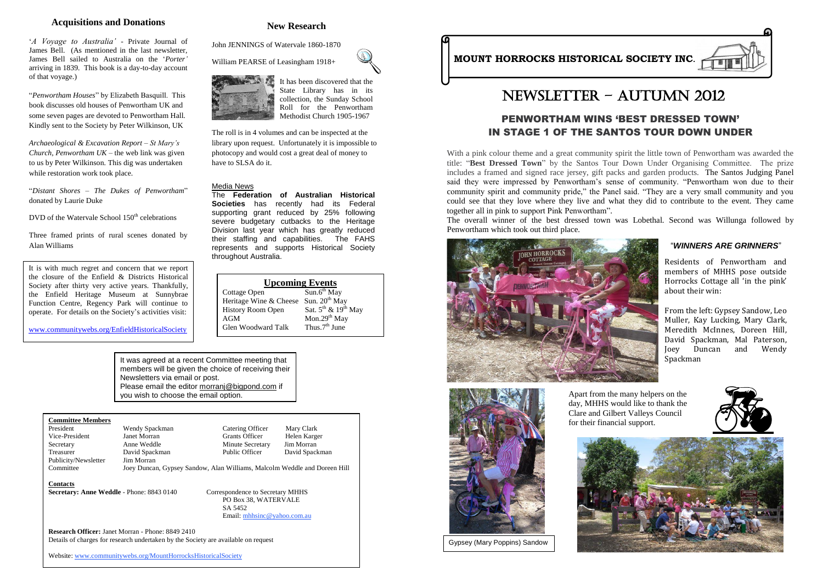# PENWORTHAM WINS 'BEST DRESSED TOWN' IN STAGE 1 OF THE SANTOS TOUR DOWN UNDER

With a pink colour theme and a great community spirit the little town of Penwortham was awarded the title: "**Best Dressed Town**" by the Santos Tour Down Under Organising Committee. The prize includes a framed and signed race jersey, gift packs and garden products. The Santos Judging Panel said they were impressed by Penwortham"s sense of community. "Penwortham won due to their community spirit and community pride," the Panel said. "They are a very small community and you could see that they love where they live and what they did to contribute to the event. They came together all in pink to support Pink Penwortham". The overall winner of the best dressed town was Lobethal. Second was Willunga followed by Penwortham which took out third place.





| <b>Upcoming Events</b>   |                               |
|--------------------------|-------------------------------|
| Cottage Open             | $Sun.6th$ May                 |
| Heritage Wine & Cheese   | Sun. 20 <sup>th</sup> May     |
| <b>History Room Open</b> | Sat. $5^{th}$ & $19^{th}$ May |
| AGM                      | Mon.29 <sup>th</sup> May      |
| Glen Woodward Talk       | Thus. $7th$ June              |

#### **New Research**

John JENNINGS of Watervale 1860-1870

William PEARSE of Leasingham 1918+



President Mendy Spackman Catering Officer Mary Clark<br>
Vice-President Janet Morran Grants Officer Helen Karge Vice-President Janet Morran Grants Officer Helen Karger Secretary Anne Weddle Minute Secretary Jim Morran Treasurer David Spackman Public Officer David Spackman Publicity/Newsletter Jim Morran

The roll is in 4 volumes and can be inspected at the library upon request. Unfortunately it is impossible to photocopy and would cost a great deal of money to have to SLSA do it.

#### **Acquisitions and Donations**

"*A Voyage to Australia'* - Private Journal of James Bell. (As mentioned in the last newsletter, James Bell sailed to Australia on the "*Porter'* arriving in 1839. This book is a day-to-day account of that voyage.)

"*Penwortham Houses*" by Elizabeth Basquill. This book discusses old houses of Penwortham UK and some seven pages are devoted to Penwortham Hall. Kindly sent to the Society by Peter Wilkinson, UK

*Archaeological & Excavation Report – St Mary's Church, Penwortham UK* – the web link was given to us by Peter Wilkinson. This dig was undertaken while restoration work took place.

"*Distant Shores – The Dukes of Penwortham*" donated by Laurie Duke

DVD of the Watervale School  $150<sup>th</sup>$  celebrations

Three framed prints of rural scenes donated by Alan Williams

#### **Committee Members**

j It was agreed at a recent Committee meeting that members will be given the choice of receiving their Newsletters via email or post. Please email the editor [morranj@bigpond.com](mailto:morranj@bigpond.com) if you wish to choose the email option.

Committee Joey Duncan, Gypsey Sandow, Alan Williams, Malcolm Weddle and Doreen Hill

**Contacts**

**Secretary: Anne Weddle** - Phone: 8843 0140 Correspondence to Secretary MHHS

 PO Box 38, WATERVALE SA 5452 Email: [mhhsinc@yahoo.com.au](mailto:mhhsinc@yahoo.com.au) 

**Research Officer:** Janet Morran - Phone: 8849 2410 Details of charges for research undertaken by the Society are available on request

Website: [www.communitywebs.org/MountHorrocksHistoricalSociety](http://www.communitywebs.org/MountHorrocksHistoricalSociety)



# Newsletter – AUTUMN 2012

# **MOUNT HORROCKS HISTORICAL SOCIETY INC.**

## "*WINNERS ARE GRINNERS*"

Residents of Penwortham and members of MHHS pose outside Horrocks Cottage all 'in the pink' about their win:

From the left: Gypsey Sandow, Leo Muller, Kay Lucking, Mary Clark, Meredith McInnes, Doreen Hill, David Spackman, Mal Paterson, Joey Duncan and Wendy Spackman

Gypsey (Mary Poppins) Sandow



Apart from the many helpers on the day, MHHS would like to thank the Clare and Gilbert Valleys Council







It is with much regret and concern that we report the closure of the Enfield & Districts Historical Society after thirty very active years. Thankfully, the Enfield Heritage Museum at Sunnybrae Function Centre, Regency Park will continue to operate. For details on the Society"s activities visit:

[www.communitywebs.org/EnfieldHistoricalSociety](http://www.communitywebs.org/EnfieldHistoricalSociety)

#### Media News

The **Federation of Australian Historical Societies** has recently had its Federal supporting grant reduced by 25% following severe budgetary cutbacks to the Heritage Division last year which has greatly reduced their staffing and capabilities. The FAHS represents and supports Historical Society throughout Australia.

It has been discovered that the State Library has in its collection, the Sunday School Roll for the Penwortham Methodist Church 1905-1967